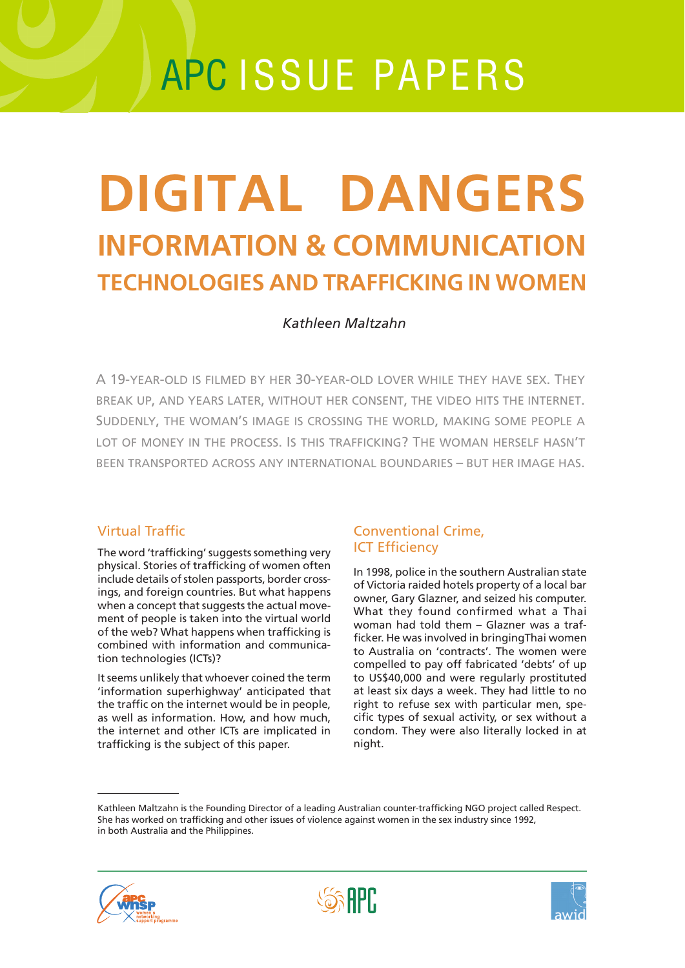# APC ISSUE PAPERS

# **INFORMATION & COMMUNICATION TECHNOLOGIES AND TRAFFICKING IN WOMEN DIGITAL DANGERS**

# *Kathleen Maltzahn*

A 19-YEAR-OLD IS FILMED BY HER 30-YEAR-OLD LOVER WHILE THEY HAVE SEX. THEY BREAK UP, AND YEARS LATER, WITHOUT HER CONSENT, THE VIDEO HITS THE INTERNET. SUDDENLY, THE WOMAN'S IMAGE IS CROSSING THE WORLD, MAKING SOME PEOPLE A LOT OF MONEY IN THE PROCESS. IS THIS TRAFFICKING? THE WOMAN HERSELF HASN'T BEEN TRANSPORTED ACROSS ANY INTERNATIONAL BOUNDARIES – BUT HER IMAGE HAS.

# Virtual Traffic

The word 'trafficking' suggests something very physical. Stories of trafficking of women often include details of stolen passports, border crossings, and foreign countries. But what happens when a concept that suggests the actual movement of people is taken into the virtual world of the web? What happens when trafficking is combined with information and communication technologies (ICTs)?

It seems unlikely that whoever coined the term 'information superhighway' anticipated that the traffic on the internet would be in people, as well as information. How, and how much, the internet and other ICTs are implicated in trafficking is the subject of this paper.

# Conventional Crime, ICT Efficiency

In 1998, police in the southern Australian state of Victoria raided hotels property of a local bar owner, Gary Glazner, and seized his computer. What they found confirmed what a Thai woman had told them – Glazner was a trafficker. He was involved in bringingThai women to Australia on 'contracts'. The women were compelled to pay off fabricated 'debts' of up to US\$40,000 and were regularly prostituted at least six days a week. They had little to no right to refuse sex with particular men, specific types of sexual activity, or sex without a condom. They were also literally locked in at night.

Kathleen Maltzahn is the Founding Director of a leading Australian counter-trafficking NGO project called Respect. She has worked on trafficking and other issues of violence against women in the sex industry since 1992, in both Australia and the Philippines.



**SSS APP** 

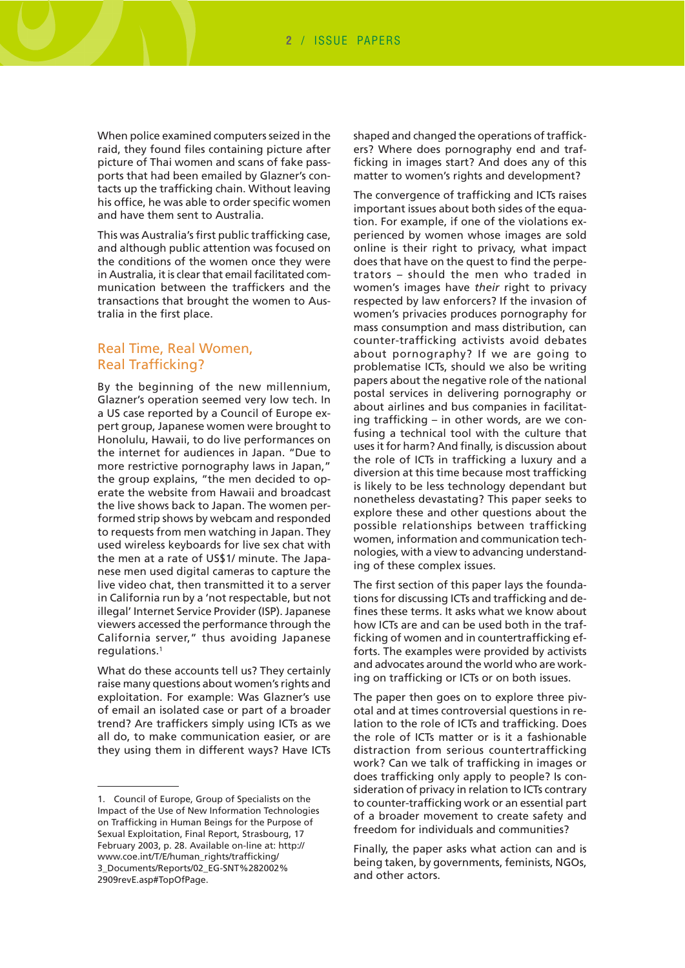When police examined computers seized in the raid, they found files containing picture after picture of Thai women and scans of fake passports that had been emailed by Glazner's contacts up the trafficking chain. Without leaving his office, he was able to order specific women and have them sent to Australia.

This was Australia's first public trafficking case, and although public attention was focused on the conditions of the women once they were in Australia, it is clear that email facilitated communication between the traffickers and the transactions that brought the women to Australia in the first place.

### Real Time, Real Women, Real Trafficking?

By the beginning of the new millennium, Glazner's operation seemed very low tech. In a US case reported by a Council of Europe expert group, Japanese women were brought to Honolulu, Hawaii, to do live performances on the internet for audiences in Japan. "Due to more restrictive pornography laws in Japan," the group explains, "the men decided to operate the website from Hawaii and broadcast the live shows back to Japan. The women performed strip shows by webcam and responded to requests from men watching in Japan. They used wireless keyboards for live sex chat with the men at a rate of US\$1/ minute. The Japanese men used digital cameras to capture the live video chat, then transmitted it to a server in California run by a 'not respectable, but not illegal' Internet Service Provider (ISP). Japanese viewers accessed the performance through the California server," thus avoiding Japanese regulations.1

What do these accounts tell us? They certainly raise many questions about women's rights and exploitation. For example: Was Glazner's use of email an isolated case or part of a broader trend? Are traffickers simply using ICTs as we all do, to make communication easier, or are they using them in different ways? Have ICTs

shaped and changed the operations of traffickers? Where does pornography end and trafficking in images start? And does any of this matter to women's rights and development?

The convergence of trafficking and ICTs raises important issues about both sides of the equation. For example, if one of the violations experienced by women whose images are sold online is their right to privacy, what impact does that have on the quest to find the perpetrators – should the men who traded in women's images have *their* right to privacy respected by law enforcers? If the invasion of women's privacies produces pornography for mass consumption and mass distribution, can counter-trafficking activists avoid debates about pornography? If we are going to problematise ICTs, should we also be writing papers about the negative role of the national postal services in delivering pornography or about airlines and bus companies in facilitating trafficking – in other words, are we confusing a technical tool with the culture that uses it for harm? And finally, is discussion about the role of ICTs in trafficking a luxury and a diversion at this time because most trafficking is likely to be less technology dependant but nonetheless devastating? This paper seeks to explore these and other questions about the possible relationships between trafficking women, information and communication technologies, with a view to advancing understanding of these complex issues.

The first section of this paper lays the foundations for discussing ICTs and trafficking and defines these terms. It asks what we know about how ICTs are and can be used both in the trafficking of women and in countertrafficking efforts. The examples were provided by activists and advocates around the world who are working on trafficking or ICTs or on both issues.

The paper then goes on to explore three pivotal and at times controversial questions in relation to the role of ICTs and trafficking. Does the role of ICTs matter or is it a fashionable distraction from serious countertrafficking work? Can we talk of trafficking in images or does trafficking only apply to people? Is consideration of privacy in relation to ICTs contrary to counter-trafficking work or an essential part of a broader movement to create safety and freedom for individuals and communities?

Finally, the paper asks what action can and is being taken, by governments, feminists, NGOs, and other actors.

<sup>1.</sup> Council of Europe, Group of Specialists on the Impact of the Use of New Information Technologies on Trafficking in Human Beings for the Purpose of Sexual Exploitation, Final Report, Strasbourg, 17 February 2003, p. 28. Available on-line at: http:// www.coe.int/T/E/human\_rights/trafficking/ [3\\_Documents/Reports/02\\_EG-SNT%282002%](http://www.coe.int/T/E/human_rights/trafficking/3_Documents/Reports/02_EG-SNT%282002%2909revE.asp#TopOfPage) 2909revE.asp#TopOfPage.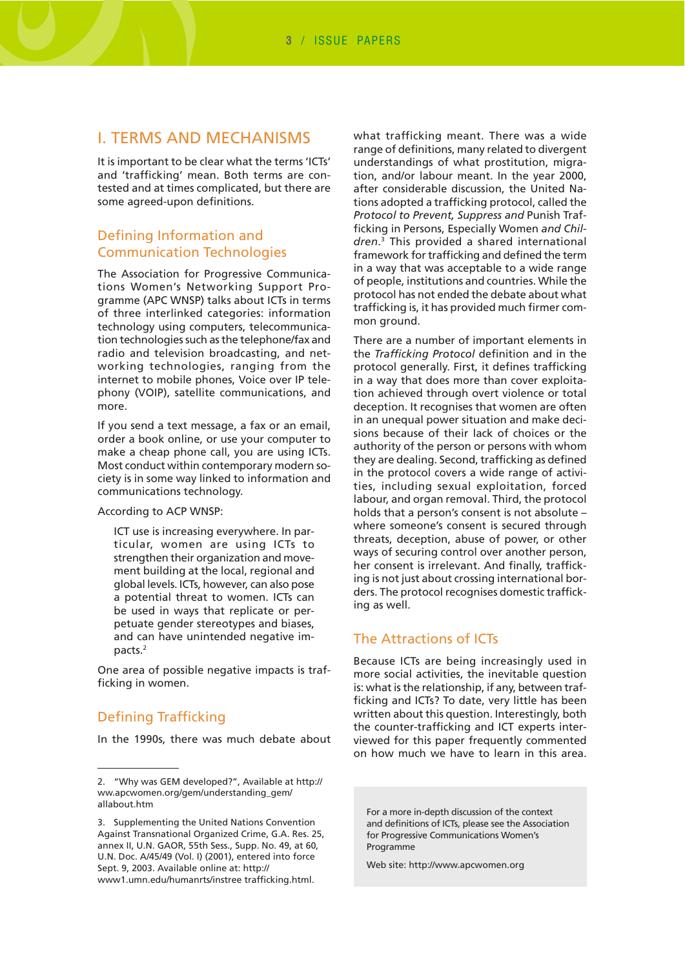# I. TERMS AND MECHANISMS

It is important to be clear what the terms 'ICTs' and 'trafficking' mean. Both terms are contested and at times complicated, but there are some agreed-upon definitions.

# Defining Information and Communication Technologies

The Association for Progressive Communications Women's Networking Support Programme (APC WNSP) talks about ICTs in terms of three interlinked categories: information technology using computers, telecommunication technologies such as the telephone/fax and radio and television broadcasting, and networking technologies, ranging from the internet to mobile phones, Voice over IP telephony (VOIP), satellite communications, and more.

If you send a text message, a fax or an email, order a book online, or use your computer to make a cheap phone call, you are using ICTs. Most conduct within contemporary modern society is in some way linked to information and communications technology.

According to ACP WNSP:

ICT use is increasing everywhere. In particular, women are using ICTs to strengthen their organization and movement building at the local, regional and global levels. ICTs, however, can also pose a potential threat to women. ICTs can be used in ways that replicate or perpetuate gender stereotypes and biases, and can have unintended negative impacts.2

One area of possible negative impacts is trafficking in women.

#### Defining Trafficking

In the 1990s, there was much debate about

what trafficking meant. There was a wide range of definitions, many related to divergent understandings of what prostitution, migration, and/or labour meant. In the year 2000, after considerable discussion, the United Nations adopted a trafficking protocol, called the *Protocol to Prevent, Suppress and* Punish Trafficking in Persons, Especially Women *and Children*. 3 This provided a shared international framework for trafficking and defined the term in a way that was acceptable to a wide range of people, institutions and countries. While the protocol has not ended the debate about what trafficking is, it has provided much firmer common ground.

There are a number of important elements in the *Trafficking Protocol* definition and in the protocol generally. First, it defines trafficking in a way that does more than cover exploitation achieved through overt violence or total deception. It recognises that women are often in an unequal power situation and make decisions because of their lack of choices or the authority of the person or persons with whom they are dealing. Second, trafficking as defined in the protocol covers a wide range of activities, including sexual exploitation, forced labour, and organ removal. Third, the protocol holds that a person's consent is not absolute – where someone's consent is secured through threats, deception, abuse of power, or other ways of securing control over another person, her consent is irrelevant. And finally, trafficking is not just about crossing international borders. The protocol recognises domestic trafficking as well.

# The Attractions of ICTs

Because ICTs are being increasingly used in more social activities, the inevitable question is: what is the relationship, if any, between trafficking and ICTs? To date, very little has been written about this question. Interestingly, both the counter-trafficking and ICT experts interviewed for this paper frequently commented on how much we have to learn in this area.

For a more in-depth discussion of the context and definitions of ICTs, please see the Association for Progressive Communications Women's Programme

Web site:<http://www.apcwomen.org>

<sup>2. &</sup>quot;Why was GEM developed?", Available at http:// [ww.apcwomen.org/gem/understanding\\_gem/](http://www.apcwomen.org/gem/understanding_gem/allabout.htm) allabout.htm

<sup>3.</sup> Supplementing the United Nations Convention Against Transnational Organized Crime, G.A. Res. 25, annex II, U.N. GAOR, 55th Sess., Supp. No. 49, at 60, U.N. Doc. A/45/49 (Vol. I) (2001), entered into force Sept. 9, 2003. Available online at: http:// [www1.umn.edu/humanrts/instree trafficking.html.](http://www1.umn.edu/humanrts/instree_trafficking.html)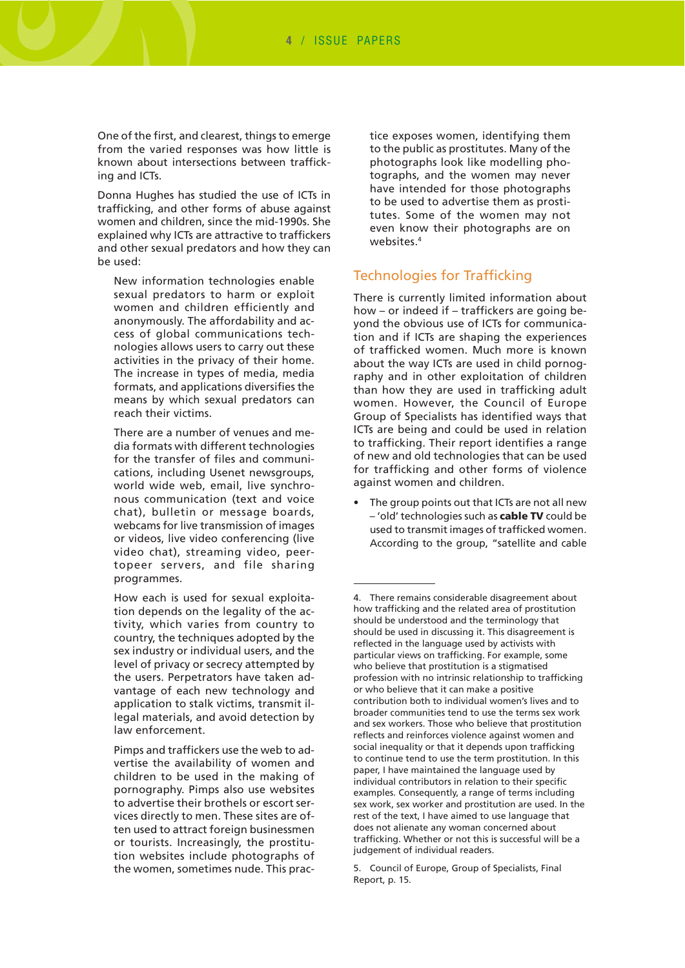One of the first, and clearest, things to emerge from the varied responses was how little is known about intersections between trafficking and ICTs.

Donna Hughes has studied the use of ICTs in trafficking, and other forms of abuse against women and children, since the mid-1990s. She explained why ICTs are attractive to traffickers and other sexual predators and how they can be used:

New information technologies enable sexual predators to harm or exploit women and children efficiently and anonymously. The affordability and access of global communications technologies allows users to carry out these activities in the privacy of their home. The increase in types of media, media formats, and applications diversifies the means by which sexual predators can reach their victims.

There are a number of venues and media formats with different technologies for the transfer of files and communications, including Usenet newsgroups, world wide web, email, live synchronous communication (text and voice chat), bulletin or message boards, webcams for live transmission of images or videos, live video conferencing (live video chat), streaming video, peertopeer servers, and file sharing programmes.

How each is used for sexual exploitation depends on the legality of the activity, which varies from country to country, the techniques adopted by the sex industry or individual users, and the level of privacy or secrecy attempted by the users. Perpetrators have taken advantage of each new technology and application to stalk victims, transmit illegal materials, and avoid detection by law enforcement.

Pimps and traffickers use the web to advertise the availability of women and children to be used in the making of pornography. Pimps also use websites to advertise their brothels or escort services directly to men. These sites are often used to attract foreign businessmen or tourists. Increasingly, the prostitution websites include photographs of the women, sometimes nude. This practice exposes women, identifying them to the public as prostitutes. Many of the photographs look like modelling photographs, and the women may never have intended for those photographs to be used to advertise them as prostitutes. Some of the women may not even know their photographs are on websites.4

#### Technologies for Trafficking

There is currently limited information about how – or indeed if – traffickers are going beyond the obvious use of ICTs for communication and if ICTs are shaping the experiences of trafficked women. Much more is known about the way ICTs are used in child pornography and in other exploitation of children than how they are used in trafficking adult women. However, the Council of Europe Group of Specialists has identified ways that ICTs are being and could be used in relation to trafficking. Their report identifies a range of new and old technologies that can be used for trafficking and other forms of violence against women and children.

The group points out that ICTs are not all new – 'old' technologies such as **cable TV** could be used to transmit images of trafficked women. According to the group, "satellite and cable

<sup>4.</sup> There remains considerable disagreement about how trafficking and the related area of prostitution should be understood and the terminology that should be used in discussing it. This disagreement is reflected in the language used by activists with particular views on trafficking. For example, some who believe that prostitution is a stigmatised profession with no intrinsic relationship to trafficking or who believe that it can make a positive contribution both to individual women's lives and to broader communities tend to use the terms sex work and sex workers. Those who believe that prostitution reflects and reinforces violence against women and social inequality or that it depends upon trafficking to continue tend to use the term prostitution. In this paper, I have maintained the language used by individual contributors in relation to their specific examples. Consequently, a range of terms including sex work, sex worker and prostitution are used. In the rest of the text, I have aimed to use language that does not alienate any woman concerned about trafficking. Whether or not this is successful will be a judgement of individual readers.

<sup>5.</sup> Council of Europe, Group of Specialists, Final Report, p. 15.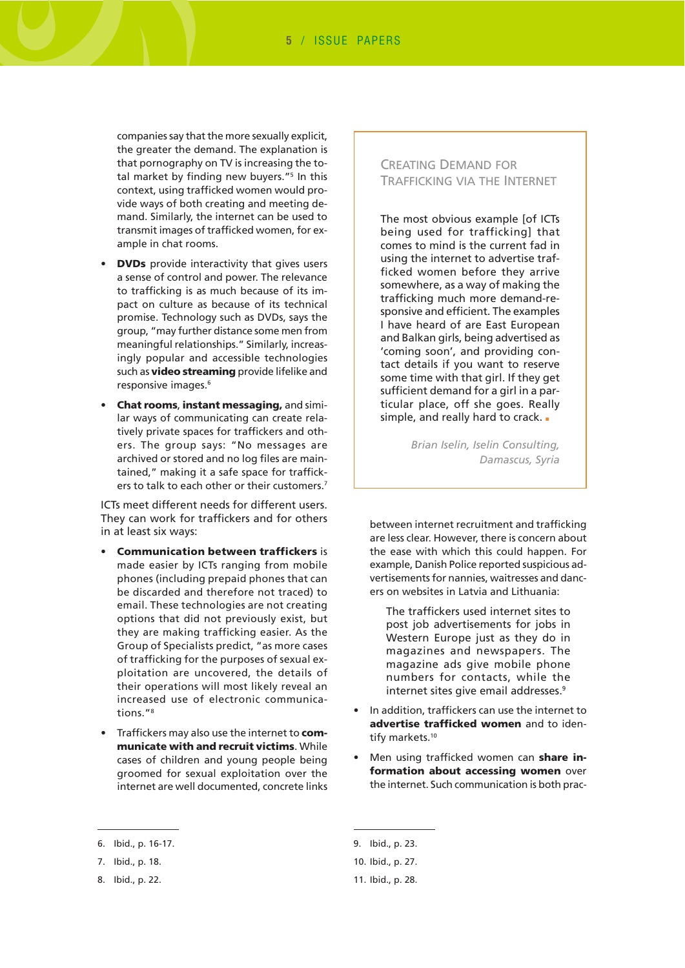companies say that the more sexually explicit, the greater the demand. The explanation is that pornography on TV is increasing the total market by finding new buyers."<sup>5</sup> In this context, using trafficked women would provide ways of both creating and meeting demand. Similarly, the internet can be used to transmit images of trafficked women, for example in chat rooms.

- **DVDs** provide interactivity that gives users a sense of control and power. The relevance to trafficking is as much because of its impact on culture as because of its technical promise. Technology such as DVDs, says the group, "may further distance some men from meaningful relationships." Similarly, increasingly popular and accessible technologies such as **video streaming** provide lifelike and responsive images.6
- **Chat rooms**, **instant messaging,** and similar ways of communicating can create relatively private spaces for traffickers and others. The group says: "No messages are archived or stored and no log files are maintained," making it a safe space for traffickers to talk to each other or their customers.<sup>7</sup>

ICTs meet different needs for different users. They can work for traffickers and for others in at least six ways:

- **Communication between traffickers** is made easier by ICTs ranging from mobile phones (including prepaid phones that can be discarded and therefore not traced) to email. These technologies are not creating options that did not previously exist, but they are making trafficking easier. As the Group of Specialists predict, "as more cases of trafficking for the purposes of sexual exploitation are uncovered, the details of their operations will most likely reveal an increased use of electronic communications."8
- Traffickers may also use the internet to **communicate with and recruit victims**. While cases of children and young people being groomed for sexual exploitation over the internet are well documented, concrete links

#### 6. Ibid., p. 16-17.

### CREATING DEMAND FOR TRAFFICKING VIA THE INTERNET

The most obvious example [of ICTs being used for trafficking] that comes to mind is the current fad in using the internet to advertise trafficked women before they arrive somewhere, as a way of making the trafficking much more demand-responsive and efficient. The examples I have heard of are East European and Balkan girls, being advertised as 'coming soon', and providing contact details if you want to reserve some time with that girl. If they get sufficient demand for a girl in a particular place, off she goes. Really simple, and really hard to crack. .

> *Brian Iselin, Iselin Consulting, Damascus, Syria*

between internet recruitment and trafficking are less clear. However, there is concern about the ease with which this could happen. For example, Danish Police reported suspicious advertisements for nannies, waitresses and dancers on websites in Latvia and Lithuania:

The traffickers used internet sites to post job advertisements for jobs in Western Europe just as they do in magazines and newspapers. The magazine ads give mobile phone numbers for contacts, while the internet sites give email addresses.<sup>9</sup>

- In addition, traffickers can use the internet to **advertise trafficked women** and to identify markets.<sup>10</sup>
- Men using trafficked women can **share information about accessing women** over the internet. Such communication is both prac-

<sup>7.</sup> Ibid., p. 18.

<sup>8.</sup> Ibid., p. 22.

<sup>9.</sup> Ibid., p. 23.

<sup>10.</sup> Ibid., p. 27.

<sup>11.</sup> Ibid., p. 28.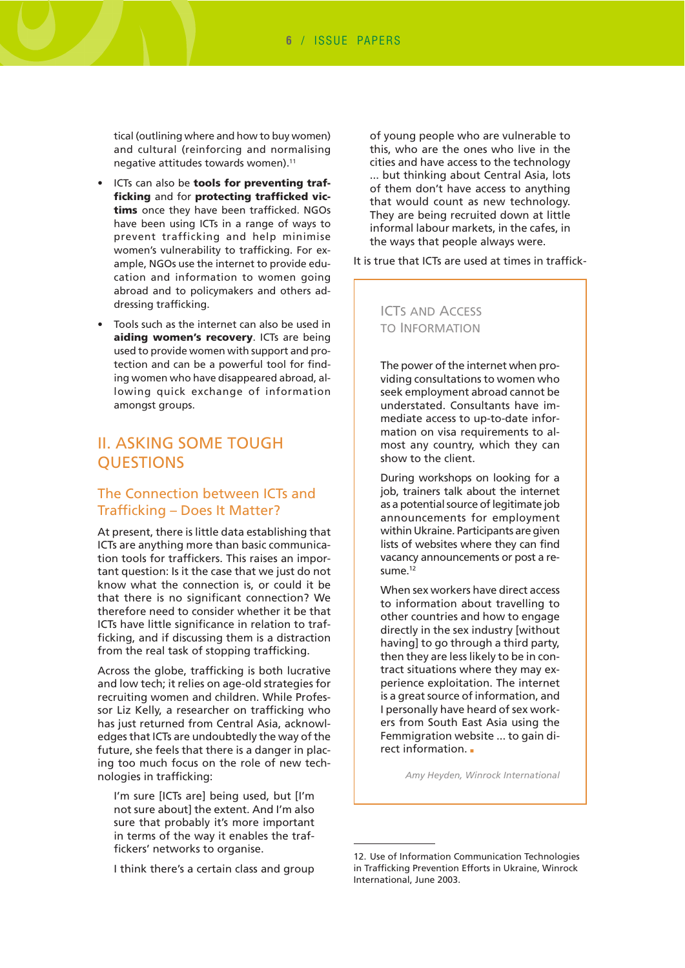tical (outlining where and how to buy women) and cultural (reinforcing and normalising negative attitudes towards women).<sup>11</sup>

- ICTs can also be **tools for preventing trafficking** and for **protecting trafficked victims** once they have been trafficked. NGOs have been using ICTs in a range of ways to prevent trafficking and help minimise women's vulnerability to trafficking. For example, NGOs use the internet to provide education and information to women going abroad and to policymakers and others addressing trafficking.
- Tools such as the internet can also be used in **aiding women's recovery**. ICTs are being used to provide women with support and protection and can be a powerful tool for finding women who have disappeared abroad, allowing quick exchange of information amongst groups.

# II. ASKING SOME TOUGH **OUESTIONS**

## The Connection between ICTs and Trafficking – Does It Matter?

At present, there is little data establishing that ICTs are anything more than basic communication tools for traffickers. This raises an important question: Is it the case that we just do not know what the connection is, or could it be that there is no significant connection? We therefore need to consider whether it be that ICTs have little significance in relation to trafficking, and if discussing them is a distraction from the real task of stopping trafficking.

Across the globe, trafficking is both lucrative and low tech; it relies on age-old strategies for recruiting women and children. While Professor Liz Kelly, a researcher on trafficking who has just returned from Central Asia, acknowledges that ICTs are undoubtedly the way of the future, she feels that there is a danger in placing too much focus on the role of new technologies in trafficking:

I'm sure [ICTs are] being used, but [I'm not sure about] the extent. And I'm also sure that probably it's more important in terms of the way it enables the traffickers' networks to organise.

I think there's a certain class and group

of young people who are vulnerable to this, who are the ones who live in the cities and have access to the technology ... but thinking about Central Asia, lots of them don't have access to anything that would count as new technology. They are being recruited down at little informal labour markets, in the cafes, in the ways that people always were.

It is true that ICTs are used at times in traffick-

#### ICTS AND ACCESS TO INFORMATION

The power of the internet when providing consultations to women who seek employment abroad cannot be understated. Consultants have immediate access to up-to-date information on visa requirements to almost any country, which they can show to the client.

During workshops on looking for a job, trainers talk about the internet as a potential source of legitimate job announcements for employment within Ukraine. Participants are given lists of websites where they can find vacancy announcements or post a resume<sup>12</sup>

When sex workers have direct access to information about travelling to other countries and how to engage directly in the sex industry [without having] to go through a third party, then they are less likely to be in contract situations where they may experience exploitation. The internet is a great source of information, and I personally have heard of sex workers from South East Asia using the Femmigration website ... to gain direct information. ■

*Amy Heyden, Winrock International*

<sup>12.</sup> Use of Information Communication Technologies in Trafficking Prevention Efforts in Ukraine, Winrock International, June 2003.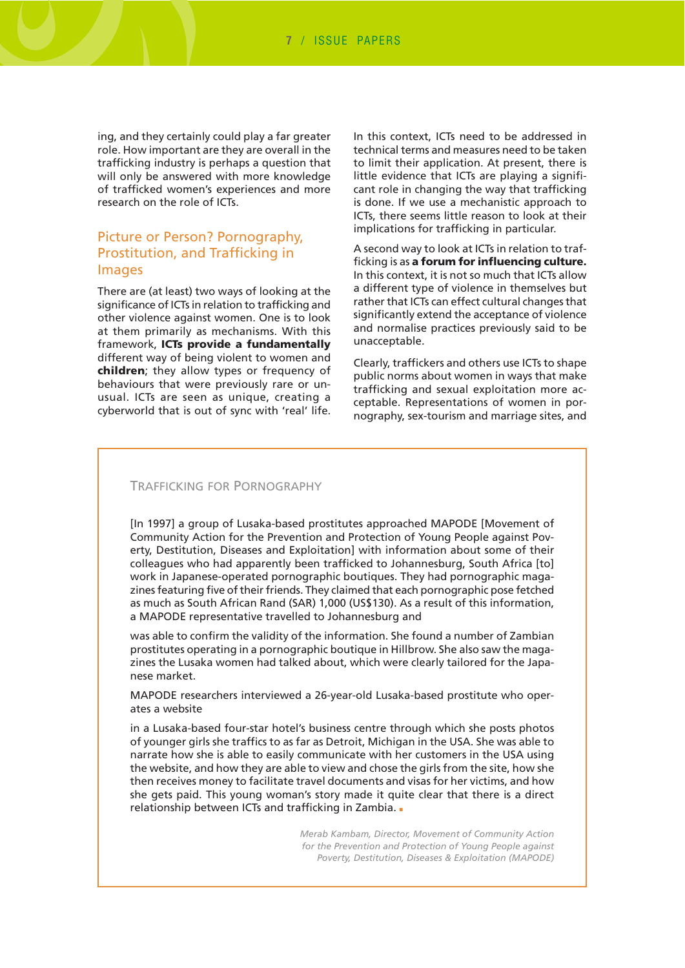ing, and they certainly could play a far greater role. How important are they are overall in the trafficking industry is perhaps a question that will only be answered with more knowledge of trafficked women's experiences and more research on the role of ICTs.

## Picture or Person? Pornography, Prostitution, and Trafficking in Images

There are (at least) two ways of looking at the significance of ICTs in relation to trafficking and other violence against women. One is to look at them primarily as mechanisms. With this framework, **ICTs provide a fundamentally** different way of being violent to women and **children**; they allow types or frequency of behaviours that were previously rare or unusual. ICTs are seen as unique, creating a cyberworld that is out of sync with 'real' life. In this context, ICTs need to be addressed in technical terms and measures need to be taken to limit their application. At present, there is little evidence that ICTs are playing a significant role in changing the way that trafficking is done. If we use a mechanistic approach to ICTs, there seems little reason to look at their implications for trafficking in particular.

A second way to look at ICTs in relation to trafficking is as **a forum for influencing culture.** In this context, it is not so much that ICTs allow a different type of violence in themselves but rather that ICTs can effect cultural changes that significantly extend the acceptance of violence and normalise practices previously said to be unacceptable.

Clearly, traffickers and others use ICTs to shape public norms about women in ways that make trafficking and sexual exploitation more acceptable. Representations of women in pornography, sex-tourism and marriage sites, and

#### TRAFFICKING FOR PORNOGRAPHY

[In 1997] a group of Lusaka-based prostitutes approached MAPODE [Movement of Community Action for the Prevention and Protection of Young People against Poverty, Destitution, Diseases and Exploitation] with information about some of their colleagues who had apparently been trafficked to Johannesburg, South Africa [to] work in Japanese-operated pornographic boutiques. They had pornographic magazines featuring five of their friends. They claimed that each pornographic pose fetched as much as South African Rand (SAR) 1,000 (US\$130). As a result of this information, a MAPODE representative travelled to Johannesburg and

was able to confirm the validity of the information. She found a number of Zambian prostitutes operating in a pornographic boutique in Hillbrow. She also saw the magazines the Lusaka women had talked about, which were clearly tailored for the Japanese market.

MAPODE researchers interviewed a 26-year-old Lusaka-based prostitute who operates a website

in a Lusaka-based four-star hotel's business centre through which she posts photos of younger girls she traffics to as far as Detroit, Michigan in the USA. She was able to narrate how she is able to easily communicate with her customers in the USA using the website, and how they are able to view and chose the girls from the site, how she then receives money to facilitate travel documents and visas for her victims, and how she gets paid. This young woman's story made it quite clear that there is a direct relationship between ICTs and trafficking in Zambia. ■

> *Merab Kambam, Director, Movement of Community Action for the Prevention and Protection of Young People against Poverty, Destitution, Diseases & Exploitation (MAPODE)*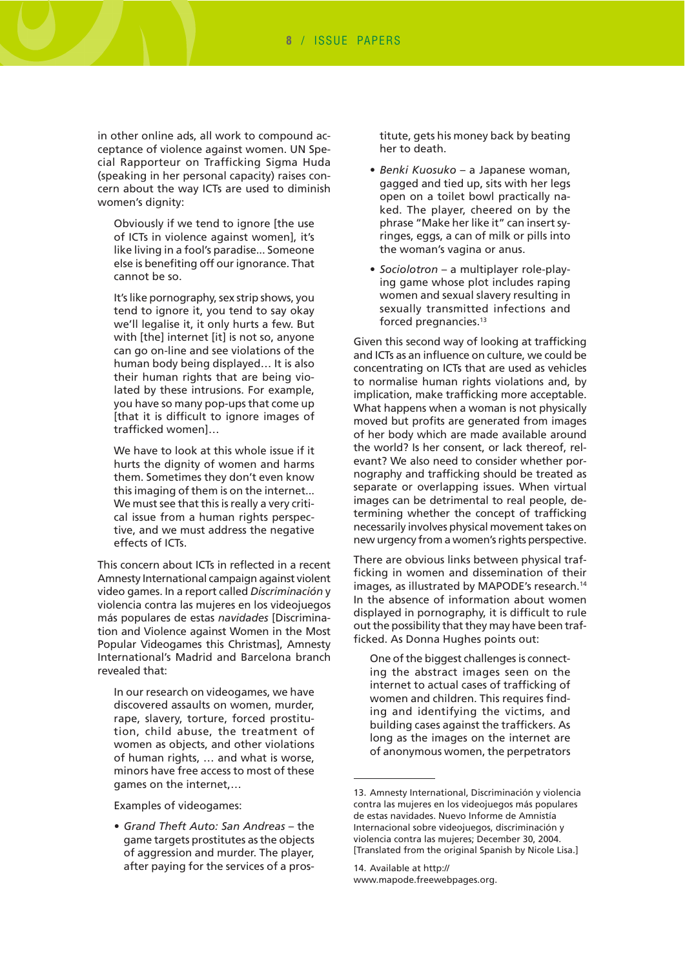in other online ads, all work to compound acceptance of violence against women. UN Special Rapporteur on Trafficking Sigma Huda (speaking in her personal capacity) raises concern about the way ICTs are used to diminish women's dignity:

Obviously if we tend to ignore [the use of ICTs in violence against women], it's like living in a fool's paradise... Someone else is benefiting off our ignorance. That cannot be so.

It's like pornography, sex strip shows, you tend to ignore it, you tend to say okay we'll legalise it, it only hurts a few. But with [the] internet [it] is not so, anyone can go on-line and see violations of the human body being displayed… It is also their human rights that are being violated by these intrusions. For example, you have so many pop-ups that come up [that it is difficult to ignore images of trafficked women]…

We have to look at this whole issue if it hurts the dignity of women and harms them. Sometimes they don't even know this imaging of them is on the internet... We must see that this is really a very critical issue from a human rights perspective, and we must address the negative effects of ICTs.

This concern about ICTs in reflected in a recent Amnesty International campaign against violent video games. In a report called *Discriminación* y violencia contra las mujeres en los videojuegos más populares de estas *navidades* [Discrimination and Violence against Women in the Most Popular Videogames this Christmas], Amnesty International's Madrid and Barcelona branch revealed that:

In our research on videogames, we have discovered assaults on women, murder, rape, slavery, torture, forced prostitution, child abuse, the treatment of women as objects, and other violations of human rights, … and what is worse, minors have free access to most of these games on the internet,…

Examples of videogames:

• *Grand Theft Auto: San Andreas* – the game targets prostitutes as the objects of aggression and murder. The player, after paying for the services of a prostitute, gets his money back by beating her to death.

- *Benki Kuosuko*  a Japanese woman, gagged and tied up, sits with her legs open on a toilet bowl practically naked. The player, cheered on by the phrase "Make her like it" can insert syringes, eggs, a can of milk or pills into the woman's vagina or anus.
- *Sociolotron* a multiplayer role-playing game whose plot includes raping women and sexual slavery resulting in sexually transmitted infections and forced pregnancies.13

Given this second way of looking at trafficking and ICTs as an influence on culture, we could be concentrating on ICTs that are used as vehicles to normalise human rights violations and, by implication, make trafficking more acceptable. What happens when a woman is not physically moved but profits are generated from images of her body which are made available around the world? Is her consent, or lack thereof, relevant? We also need to consider whether pornography and trafficking should be treated as separate or overlapping issues. When virtual images can be detrimental to real people, determining whether the concept of trafficking necessarily involves physical movement takes on new urgency from a women's rights perspective.

There are obvious links between physical trafficking in women and dissemination of their images, as illustrated by MAPODE's research.<sup>14</sup> In the absence of information about women displayed in pornography, it is difficult to rule out the possibility that they may have been trafficked. As Donna Hughes points out:

One of the biggest challenges is connecting the abstract images seen on the internet to actual cases of trafficking of women and children. This requires finding and identifying the victims, and building cases against the traffickers. As long as the images on the internet are of anonymous women, the perpetrators

<sup>13.</sup> Amnesty International, Discriminación y violencia contra las mujeres en los videojuegos más populares de estas navidades. Nuevo Informe de Amnistía Internacional sobre videojuegos, discriminación y violencia contra las mujeres; December 30, 2004. [Translated from the original Spanish by Nicole Lisa.]

<sup>14.</sup> Available at http:// [www.mapode.freewebpages.org.](http://www.mapode.freewebpages.org)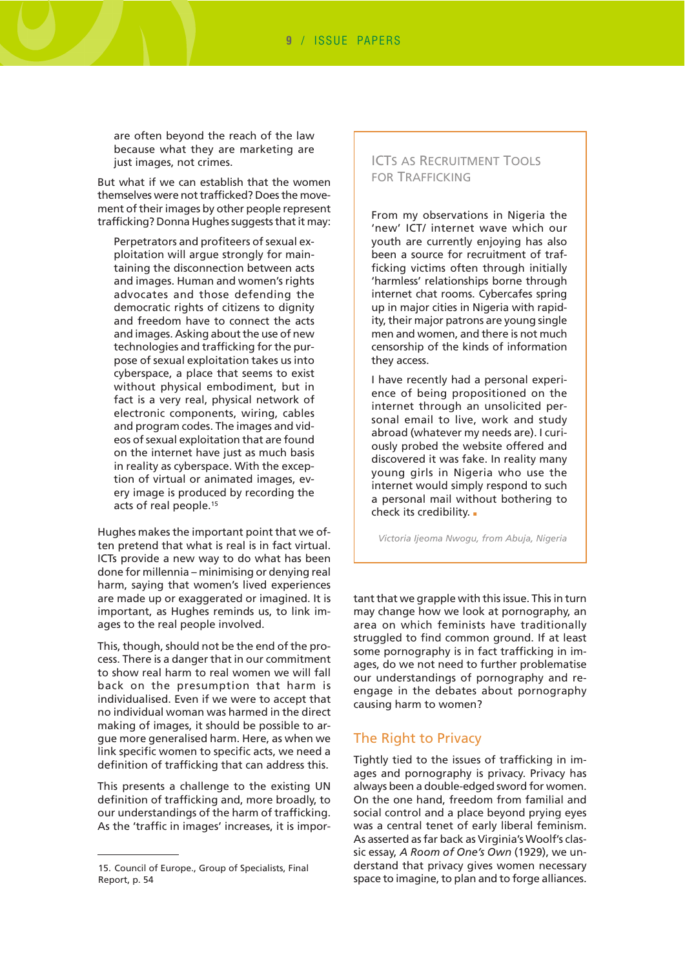are often beyond the reach of the law because what they are marketing are just images, not crimes.

But what if we can establish that the women themselves were not trafficked? Does the movement of their images by other people represent trafficking? Donna Hughes suggests that it may:

Perpetrators and profiteers of sexual exploitation will argue strongly for maintaining the disconnection between acts and images. Human and women's rights advocates and those defending the democratic rights of citizens to dignity and freedom have to connect the acts and images. Asking about the use of new technologies and trafficking for the purpose of sexual exploitation takes us into cyberspace, a place that seems to exist without physical embodiment, but in fact is a very real, physical network of electronic components, wiring, cables and program codes. The images and videos of sexual exploitation that are found on the internet have just as much basis in reality as cyberspace. With the exception of virtual or animated images, every image is produced by recording the acts of real people.15

Hughes makes the important point that we often pretend that what is real is in fact virtual. ICTs provide a new way to do what has been done for millennia – minimising or denying real harm, saying that women's lived experiences are made up or exaggerated or imagined. It is important, as Hughes reminds us, to link images to the real people involved.

This, though, should not be the end of the process. There is a danger that in our commitment to show real harm to real women we will fall back on the presumption that harm is individualised. Even if we were to accept that no individual woman was harmed in the direct making of images, it should be possible to argue more generalised harm. Here, as when we link specific women to specific acts, we need a definition of trafficking that can address this.

This presents a challenge to the existing UN definition of trafficking and, more broadly, to our understandings of the harm of trafficking. As the 'traffic in images' increases, it is impor-

#### ICTS AS RECRUITMENT TOOLS FOR TRAFFICKING

From my observations in Nigeria the 'new' ICT/ internet wave which our youth are currently enjoying has also been a source for recruitment of trafficking victims often through initially 'harmless' relationships borne through internet chat rooms. Cybercafes spring up in major cities in Nigeria with rapidity, their major patrons are young single men and women, and there is not much censorship of the kinds of information they access.

I have recently had a personal experience of being propositioned on the internet through an unsolicited personal email to live, work and study abroad (whatever my needs are). I curiously probed the website offered and discovered it was fake. In reality many young girls in Nigeria who use the internet would simply respond to such a personal mail without bothering to check its credibility. .

*Victoria Ijeoma Nwogu, from Abuja, Nigeria*

tant that we grapple with this issue. This in turn may change how we look at pornography, an area on which feminists have traditionally struggled to find common ground. If at least some pornography is in fact trafficking in images, do we not need to further problematise our understandings of pornography and reengage in the debates about pornography causing harm to women?

#### The Right to Privacy

Tightly tied to the issues of trafficking in images and pornography is privacy. Privacy has always been a double-edged sword for women. On the one hand, freedom from familial and social control and a place beyond prying eyes was a central tenet of early liberal feminism. As asserted as far back as Virginia's Woolf's classic essay, *A Room of One's Own* (1929), we understand that privacy gives women necessary space to imagine, to plan and to forge alliances.

<sup>15.</sup> Council of Europe., Group of Specialists, Final Report, p. 54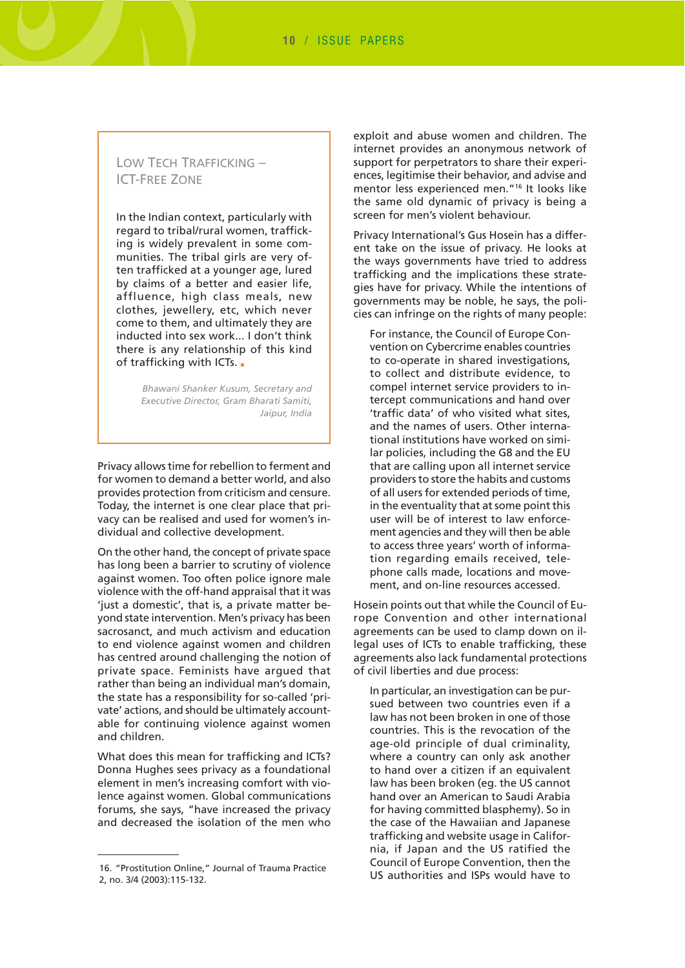# LOW TECH TRAFFICKING – ICT-FREE ZONE

In the Indian context, particularly with regard to tribal/rural women, trafficking is widely prevalent in some communities. The tribal girls are very often trafficked at a younger age, lured by claims of a better and easier life, affluence, high class meals, new clothes, jewellery, etc, which never come to them, and ultimately they are inducted into sex work... I don't think there is any relationship of this kind of trafficking with ICTs. .

> *Bhawani Shanker Kusum, Secretary and Executive Director, Gram Bharati Samiti, Jaipur, India*

Privacy allows time for rebellion to ferment and for women to demand a better world, and also provides protection from criticism and censure. Today, the internet is one clear place that privacy can be realised and used for women's individual and collective development.

On the other hand, the concept of private space has long been a barrier to scrutiny of violence against women. Too often police ignore male violence with the off-hand appraisal that it was 'just a domestic', that is, a private matter beyond state intervention. Men's privacy has been sacrosanct, and much activism and education to end violence against women and children has centred around challenging the notion of private space. Feminists have argued that rather than being an individual man's domain, the state has a responsibility for so-called 'private' actions, and should be ultimately accountable for continuing violence against women and children.

What does this mean for trafficking and ICTs? Donna Hughes sees privacy as a foundational element in men's increasing comfort with violence against women. Global communications forums, she says, "have increased the privacy and decreased the isolation of the men who

exploit and abuse women and children. The internet provides an anonymous network of support for perpetrators to share their experiences, legitimise their behavior, and advise and mentor less experienced men."16 It looks like the same old dynamic of privacy is being a screen for men's violent behaviour.

Privacy International's Gus Hosein has a different take on the issue of privacy. He looks at the ways governments have tried to address trafficking and the implications these strategies have for privacy. While the intentions of governments may be noble, he says, the policies can infringe on the rights of many people:

For instance, the Council of Europe Convention on Cybercrime enables countries to co-operate in shared investigations, to collect and distribute evidence, to compel internet service providers to intercept communications and hand over 'traffic data' of who visited what sites, and the names of users. Other international institutions have worked on similar policies, including the G8 and the EU that are calling upon all internet service providers to store the habits and customs of all users for extended periods of time, in the eventuality that at some point this user will be of interest to law enforcement agencies and they will then be able to access three years' worth of information regarding emails received, telephone calls made, locations and movement, and on-line resources accessed.

Hosein points out that while the Council of Europe Convention and other international agreements can be used to clamp down on illegal uses of ICTs to enable trafficking, these agreements also lack fundamental protections of civil liberties and due process:

In particular, an investigation can be pursued between two countries even if a law has not been broken in one of those countries. This is the revocation of the age-old principle of dual criminality, where a country can only ask another to hand over a citizen if an equivalent law has been broken (eg. the US cannot hand over an American to Saudi Arabia for having committed blasphemy). So in the case of the Hawaiian and Japanese trafficking and website usage in California, if Japan and the US ratified the Council of Europe Convention, then the US authorities and ISPs would have to

<sup>16. &</sup>quot;Prostitution Online," Journal of Trauma Practice 2, no. 3/4 (2003):115-132.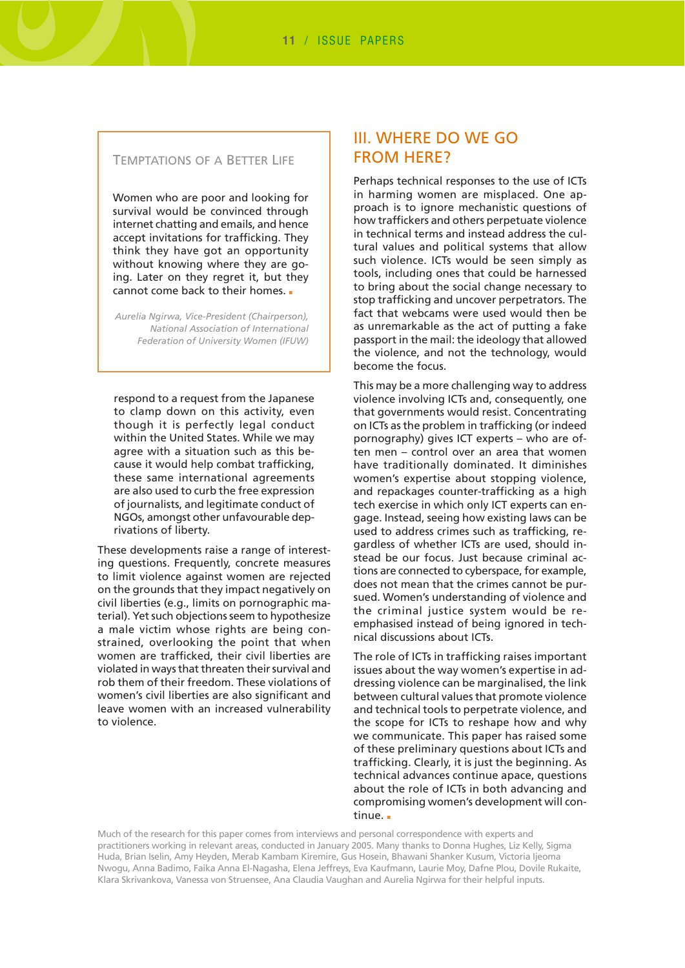#### TEMPTATIONS OF A BETTER LIFE

Women who are poor and looking for survival would be convinced through internet chatting and emails, and hence accept invitations for trafficking. They think they have got an opportunity without knowing where they are going. Later on they regret it, but they cannot come back to their homes. ■

*Aurelia Ngirwa, Vice-President (Chairperson), National Association of International Federation of University Women (IFUW)*

respond to a request from the Japanese to clamp down on this activity, even though it is perfectly legal conduct within the United States. While we may agree with a situation such as this because it would help combat trafficking, these same international agreements are also used to curb the free expression of journalists, and legitimate conduct of NGOs, amongst other unfavourable deprivations of liberty.

These developments raise a range of interesting questions. Frequently, concrete measures to limit violence against women are rejected on the grounds that they impact negatively on civil liberties (e.g., limits on pornographic material). Yet such objections seem to hypothesize a male victim whose rights are being constrained, overlooking the point that when women are trafficked, their civil liberties are violated in ways that threaten their survival and rob them of their freedom. These violations of women's civil liberties are also significant and leave women with an increased vulnerability to violence.

# III. WHERE DO WE GO FROM HERE?

Perhaps technical responses to the use of ICTs in harming women are misplaced. One approach is to ignore mechanistic questions of how traffickers and others perpetuate violence in technical terms and instead address the cultural values and political systems that allow such violence. ICTs would be seen simply as tools, including ones that could be harnessed to bring about the social change necessary to stop trafficking and uncover perpetrators. The fact that webcams were used would then be as unremarkable as the act of putting a fake passport in the mail: the ideology that allowed the violence, and not the technology, would become the focus.

This may be a more challenging way to address violence involving ICTs and, consequently, one that governments would resist. Concentrating on ICTs as the problem in trafficking (or indeed pornography) gives ICT experts – who are often men – control over an area that women have traditionally dominated. It diminishes women's expertise about stopping violence, and repackages counter-trafficking as a high tech exercise in which only ICT experts can engage. Instead, seeing how existing laws can be used to address crimes such as trafficking, regardless of whether ICTs are used, should instead be our focus. Just because criminal actions are connected to cyberspace, for example, does not mean that the crimes cannot be pursued. Women's understanding of violence and the criminal justice system would be reemphasised instead of being ignored in technical discussions about ICTs.

The role of ICTs in trafficking raises important issues about the way women's expertise in addressing violence can be marginalised, the link between cultural values that promote violence and technical tools to perpetrate violence, and the scope for ICTs to reshape how and why we communicate. This paper has raised some of these preliminary questions about ICTs and trafficking. Clearly, it is just the beginning. As technical advances continue apace, questions about the role of ICTs in both advancing and compromising women's development will continue. ■

Much of the research for this paper comes from interviews and personal correspondence with experts and practitioners working in relevant areas, conducted in January 2005. Many thanks to Donna Hughes, Liz Kelly, Sigma Huda, Brian Iselin, Amy Heyden, Merab Kambam Kiremire, Gus Hosein, Bhawani Shanker Kusum, Victoria Ijeoma Nwogu, Anna Badimo, Faika Anna El-Nagasha, Elena Jeffreys, Eva Kaufmann, Laurie Moy, Dafne Plou, Dovile Rukaite, Klara Skrivankova, Vanessa von Struensee, Ana Claudia Vaughan and Aurelia Ngirwa for their helpful inputs.